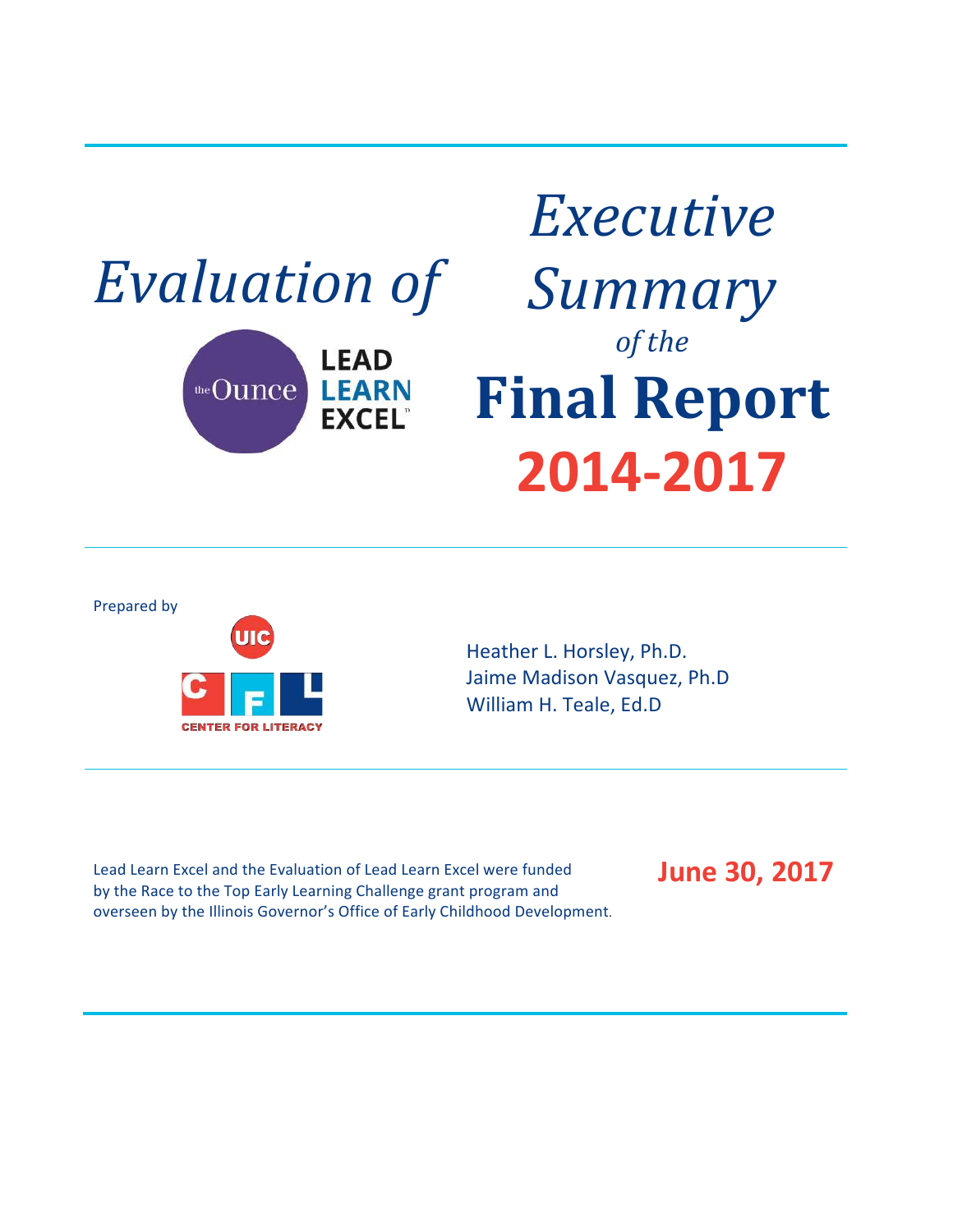

# *Executive Summary of the* **Final Report 2014-2017**





Heather L. Horsley, Ph.D. Jaime Madison Vasquez, Ph.D William H. Teale, Ed.D

Lead Learn Excel and the Evaluation of Lead Learn Excel were funded by the Race to the Top Early Learning Challenge grant program and overseen by the Illinois Governor's Office of Early Childhood Development. **June 30, 2017**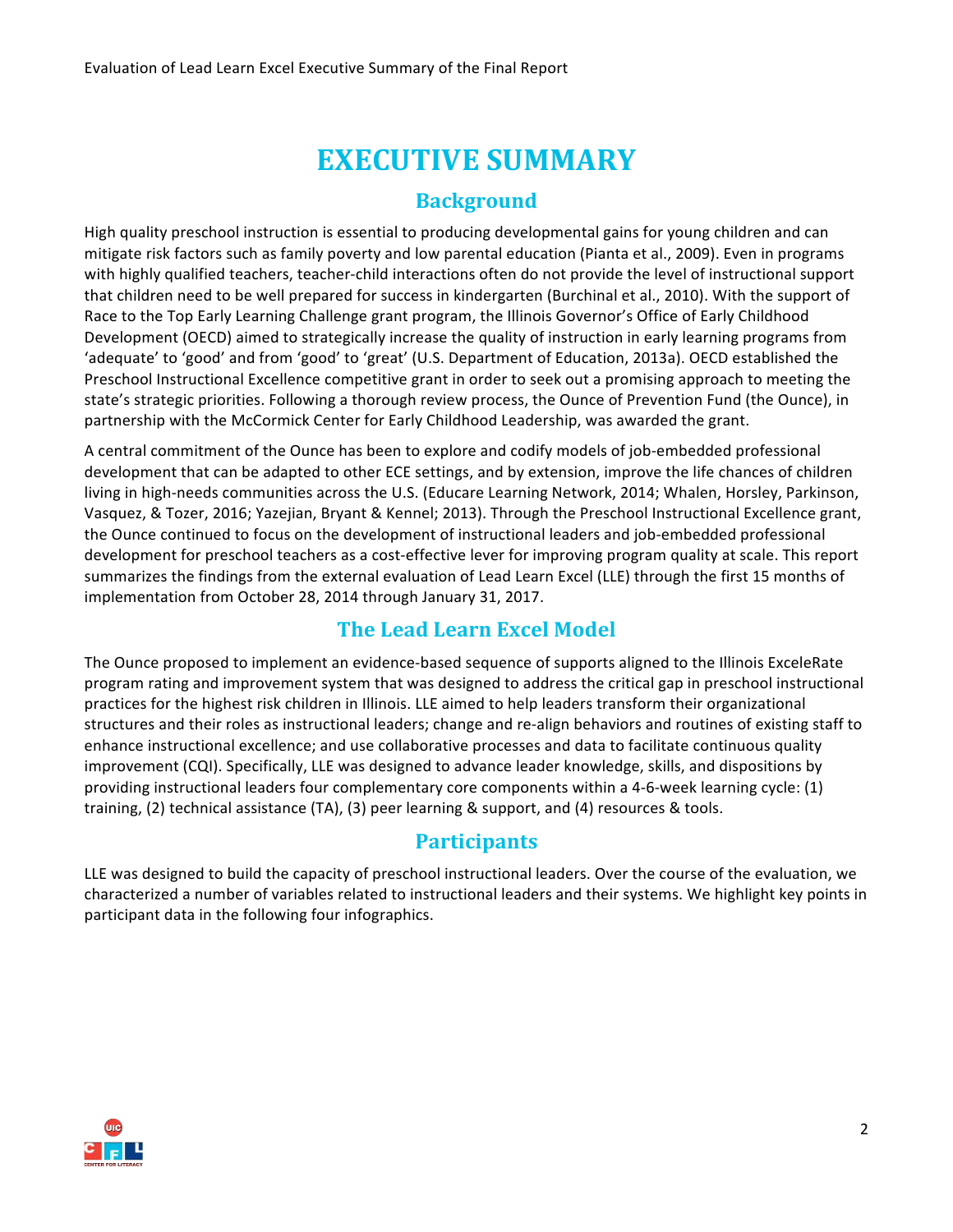### **EXECUTIVE SUMMARY**

#### **Background**

High quality preschool instruction is essential to producing developmental gains for young children and can mitigate risk factors such as family poverty and low parental education (Pianta et al., 2009). Even in programs with highly qualified teachers, teacher-child interactions often do not provide the level of instructional support that children need to be well prepared for success in kindergarten (Burchinal et al., 2010). With the support of Race to the Top Early Learning Challenge grant program, the Illinois Governor's Office of Early Childhood Development (OECD) aimed to strategically increase the quality of instruction in early learning programs from 'adequate' to 'good' and from 'good' to 'great' (U.S. Department of Education, 2013a). OECD established the Preschool Instructional Excellence competitive grant in order to seek out a promising approach to meeting the state's strategic priorities. Following a thorough review process, the Ounce of Prevention Fund (the Ounce), in partnership with the McCormick Center for Early Childhood Leadership, was awarded the grant.

A central commitment of the Ounce has been to explore and codify models of job-embedded professional development that can be adapted to other ECE settings, and by extension, improve the life chances of children living in high-needs communities across the U.S. (Educare Learning Network, 2014; Whalen, Horsley, Parkinson, Vasquez, & Tozer, 2016; Yazejian, Bryant & Kennel; 2013). Through the Preschool Instructional Excellence grant, the Ounce continued to focus on the development of instructional leaders and job-embedded professional development for preschool teachers as a cost-effective lever for improving program quality at scale. This report summarizes the findings from the external evaluation of Lead Learn Excel (LLE) through the first 15 months of implementation from October 28, 2014 through January 31, 2017.

#### **The Lead Learn Excel Model**

The Ounce proposed to implement an evidence-based sequence of supports aligned to the Illinois ExceleRate program rating and improvement system that was designed to address the critical gap in preschool instructional practices for the highest risk children in Illinois. LLE aimed to help leaders transform their organizational structures and their roles as instructional leaders; change and re-align behaviors and routines of existing staff to enhance instructional excellence; and use collaborative processes and data to facilitate continuous quality improvement (CQI). Specifically, LLE was designed to advance leader knowledge, skills, and dispositions by providing instructional leaders four complementary core components within a 4-6-week learning cycle: (1) training, (2) technical assistance  $(TA)$ , (3) peer learning & support, and (4) resources & tools.

#### **Participants**

LLE was designed to build the capacity of preschool instructional leaders. Over the course of the evaluation, we characterized a number of variables related to instructional leaders and their systems. We highlight key points in participant data in the following four infographics.

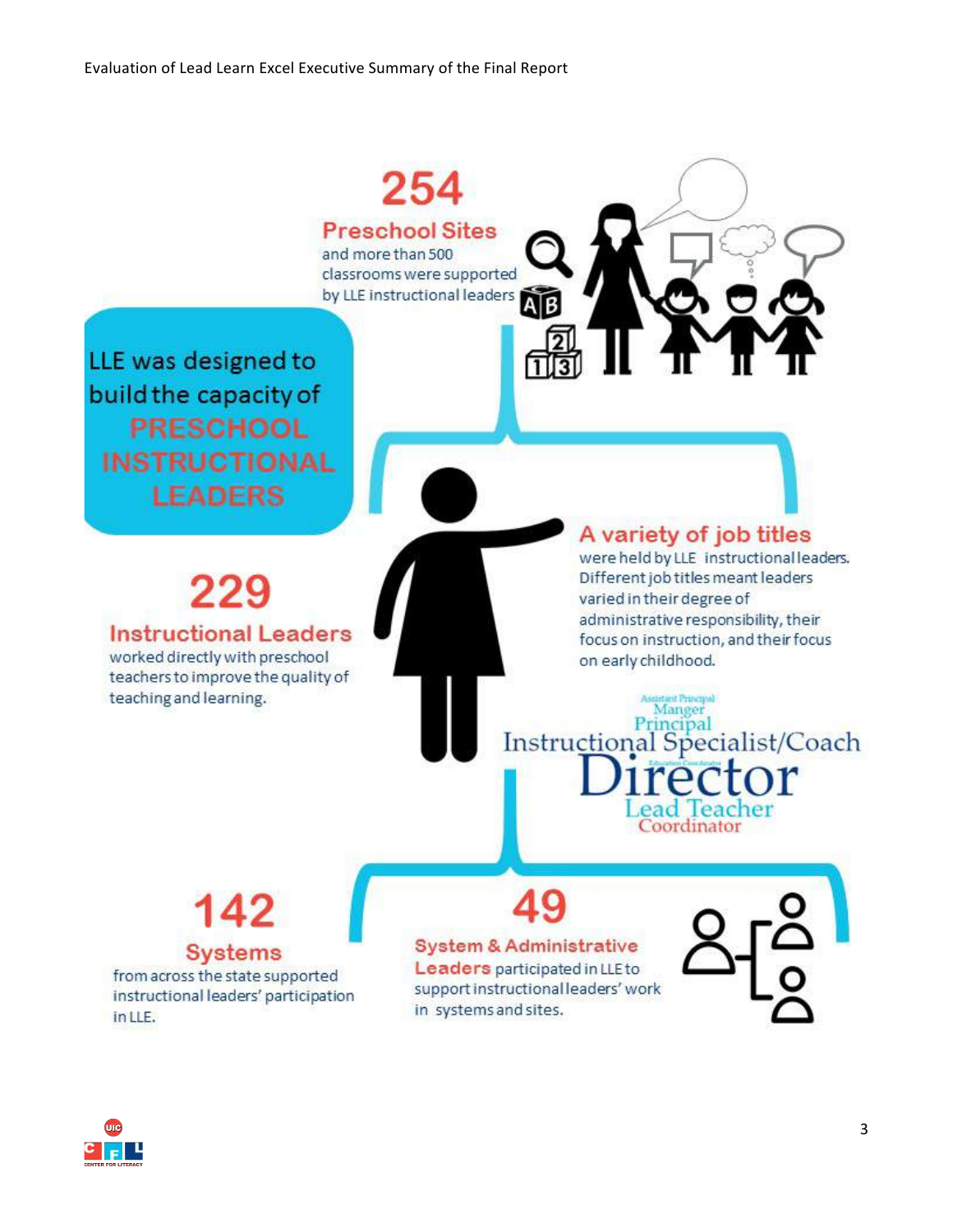

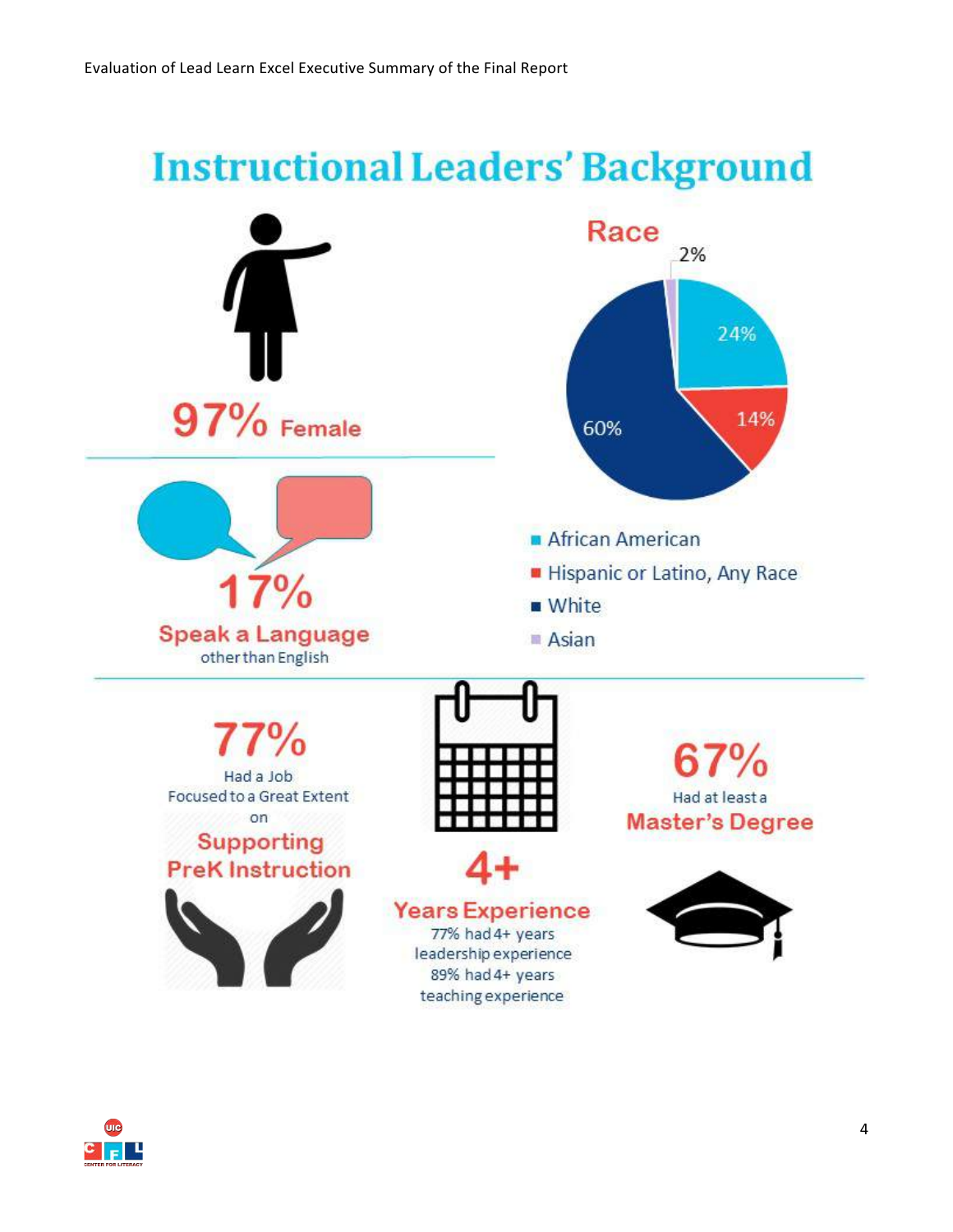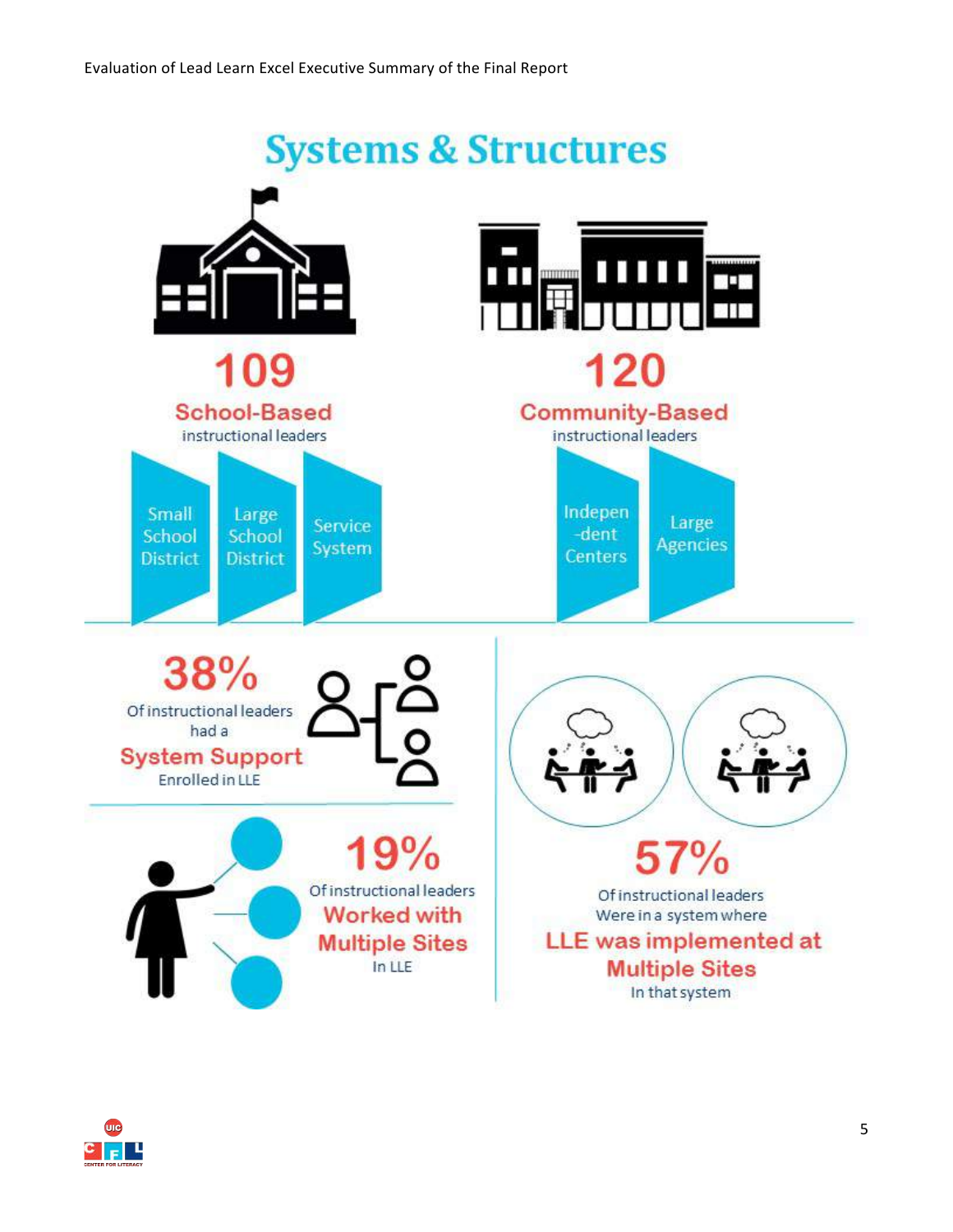

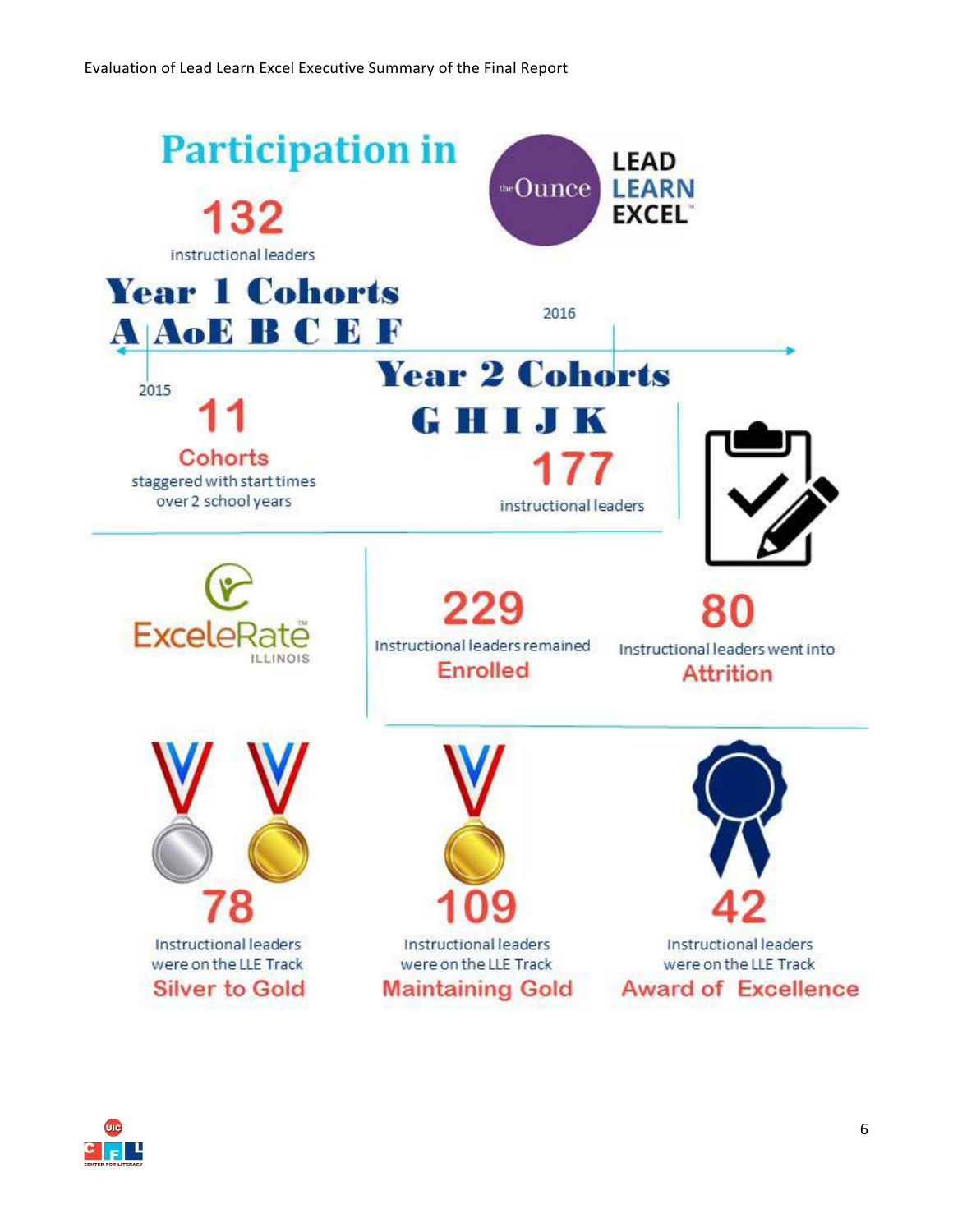

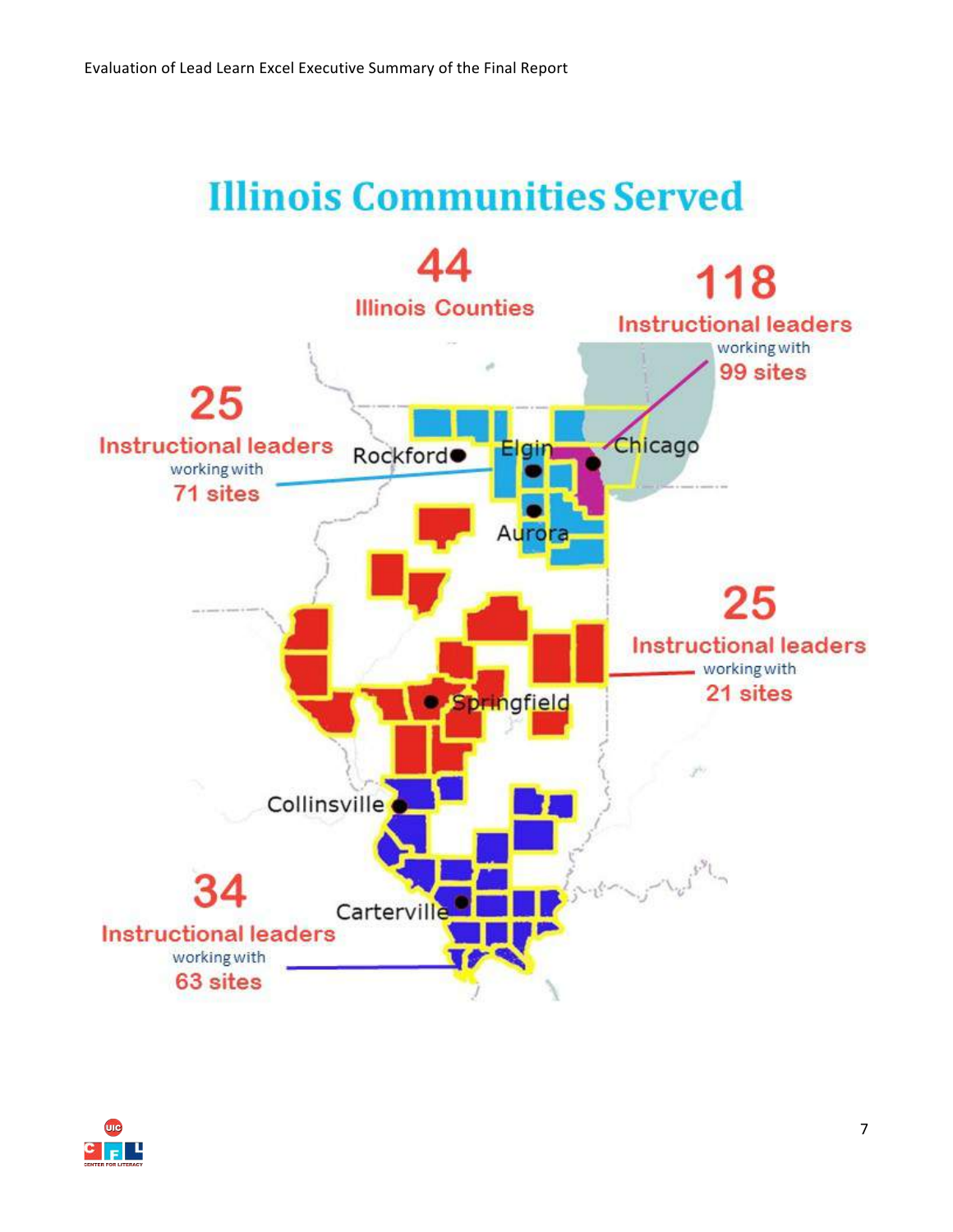## **Illinois Communities Served**



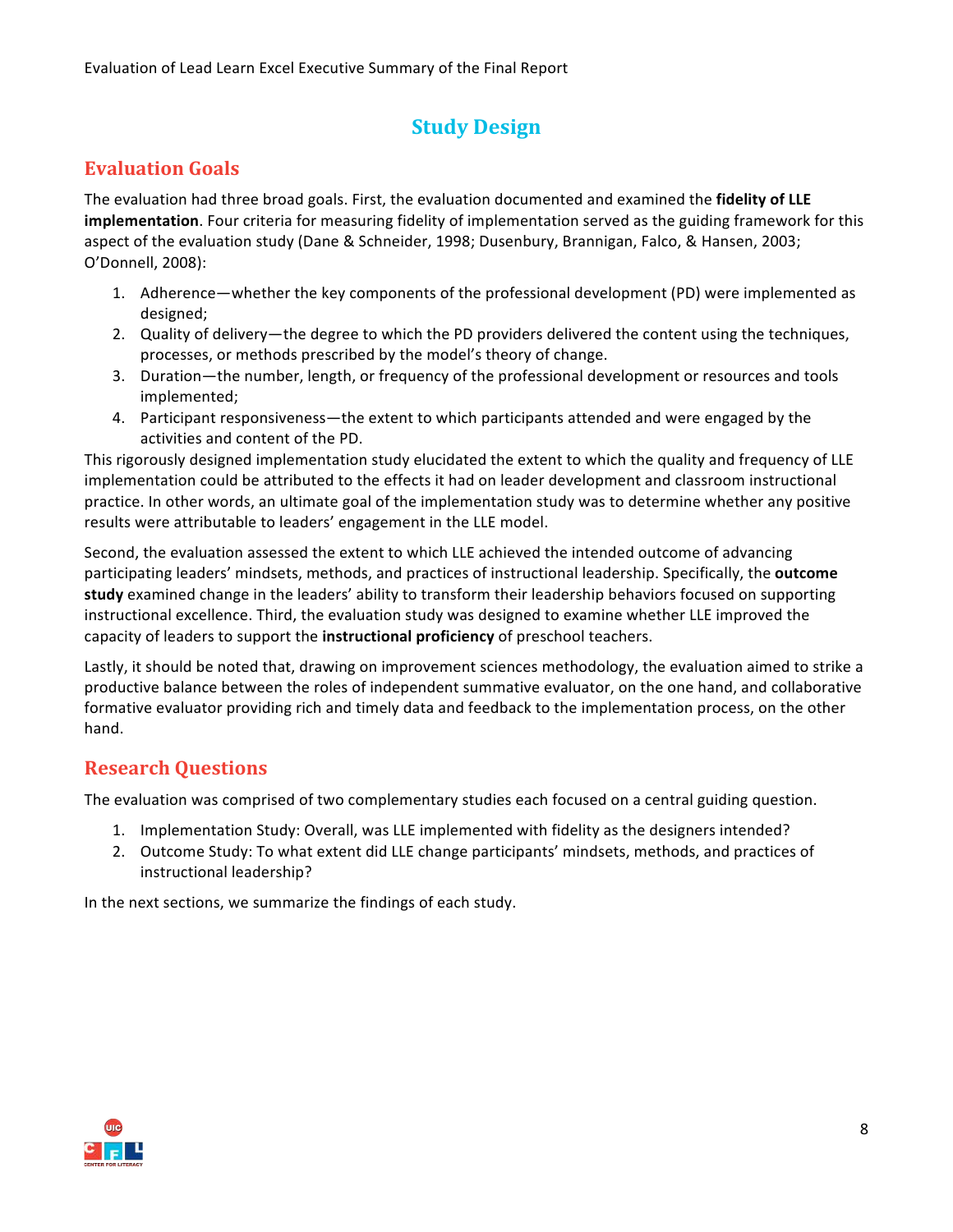### **Study Design**

#### **Evaluation Goals**

The evaluation had three broad goals. First, the evaluation documented and examined the **fidelity of LLE implementation**. Four criteria for measuring fidelity of implementation served as the guiding framework for this aspect of the evaluation study (Dane & Schneider, 1998; Dusenbury, Brannigan, Falco, & Hansen, 2003; O'Donnell, 2008):

- 1. Adherence—whether the key components of the professional development (PD) were implemented as designed;
- 2. Quality of delivery—the degree to which the PD providers delivered the content using the techniques, processes, or methods prescribed by the model's theory of change.
- 3. Duration—the number, length, or frequency of the professional development or resources and tools implemented;
- 4. Participant responsiveness—the extent to which participants attended and were engaged by the activities and content of the PD.

This rigorously designed implementation study elucidated the extent to which the quality and frequency of LLE implementation could be attributed to the effects it had on leader development and classroom instructional practice. In other words, an ultimate goal of the implementation study was to determine whether any positive results were attributable to leaders' engagement in the LLE model.

Second, the evaluation assessed the extent to which LLE achieved the intended outcome of advancing participating leaders' mindsets, methods, and practices of instructional leadership. Specifically, the **outcome study** examined change in the leaders' ability to transform their leadership behaviors focused on supporting instructional excellence. Third, the evaluation study was designed to examine whether LLE improved the capacity of leaders to support the **instructional proficiency** of preschool teachers.

Lastly, it should be noted that, drawing on improvement sciences methodology, the evaluation aimed to strike a productive balance between the roles of independent summative evaluator, on the one hand, and collaborative formative evaluator providing rich and timely data and feedback to the implementation process, on the other hand. 

#### **Research Questions**

The evaluation was comprised of two complementary studies each focused on a central guiding question.

- 1. Implementation Study: Overall, was LLE implemented with fidelity as the designers intended?
- 2. Outcome Study: To what extent did LLE change participants' mindsets, methods, and practices of instructional leadership?

In the next sections, we summarize the findings of each study.

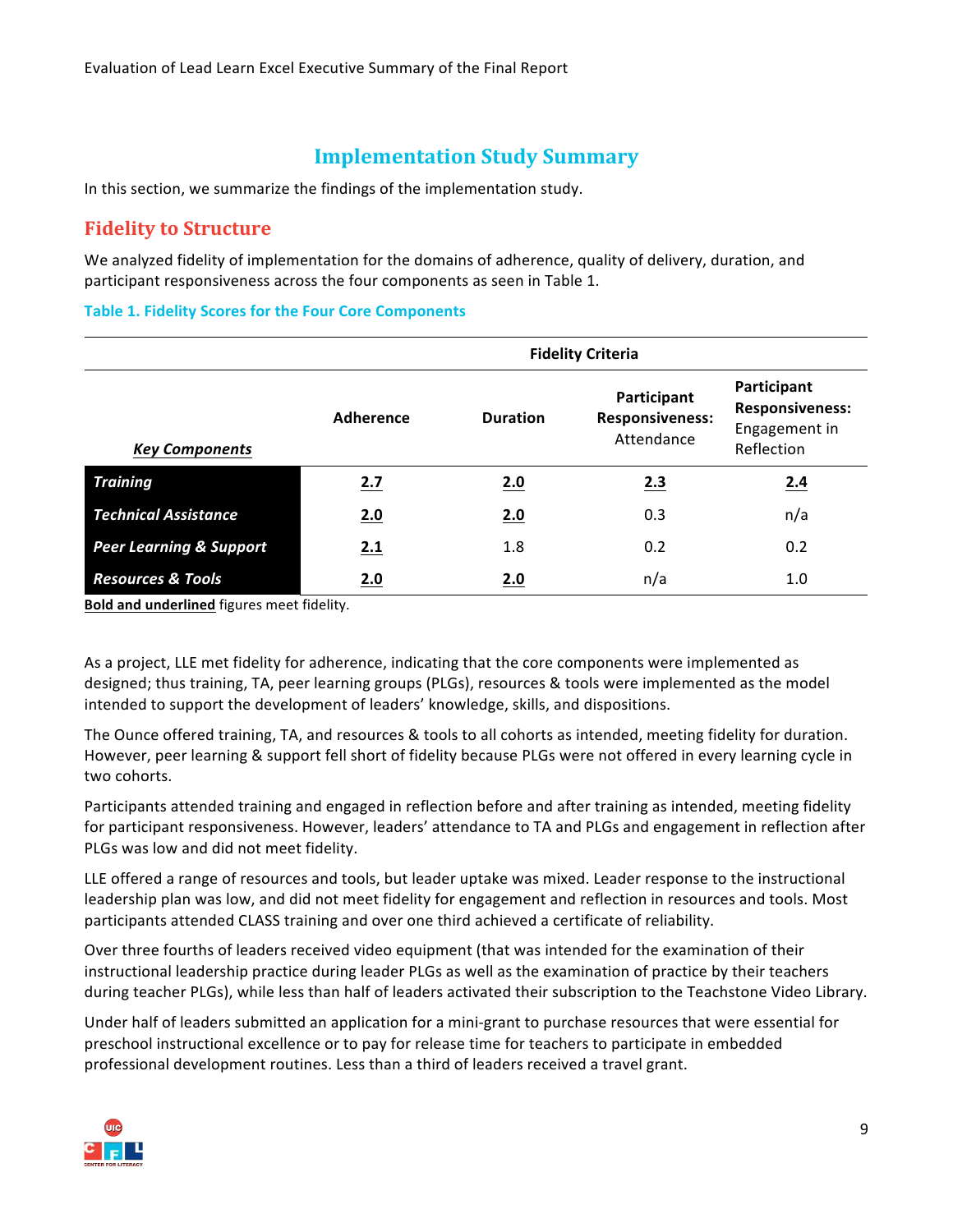#### **Implementation Study Summary**

In this section, we summarize the findings of the implementation study.

#### **Fidelity to Structure**

We analyzed fidelity of implementation for the domains of adherence, quality of delivery, duration, and participant responsiveness across the four components as seen in Table 1.

#### **Table 1. Fidelity Scores for the Four Core Components**

|                                    | <b>Fidelity Criteria</b> |                 |                                                     |                                                                      |
|------------------------------------|--------------------------|-----------------|-----------------------------------------------------|----------------------------------------------------------------------|
| <b>Key Components</b>              | Adherence                | <b>Duration</b> | Participant<br><b>Responsiveness:</b><br>Attendance | Participant<br><b>Responsiveness:</b><br>Engagement in<br>Reflection |
| <b>Training</b>                    | 2.7                      | 2.0             | 2.3                                                 | 2.4                                                                  |
| <b>Technical Assistance</b>        | 2.0                      | 2.0             | 0.3                                                 | n/a                                                                  |
| <b>Peer Learning &amp; Support</b> | 2.1                      | 1.8             | 0.2                                                 | 0.2                                                                  |
| <b>Resources &amp; Tools</b>       | 2.0                      | 2.0             | n/a                                                 | 1.0                                                                  |

**Bold and underlined** figures meet fidelity.

As a project, LLE met fidelity for adherence, indicating that the core components were implemented as designed; thus training, TA, peer learning groups (PLGs), resources & tools were implemented as the model intended to support the development of leaders' knowledge, skills, and dispositions.

The Ounce offered training, TA, and resources & tools to all cohorts as intended, meeting fidelity for duration. However, peer learning & support fell short of fidelity because PLGs were not offered in every learning cycle in two cohorts.

Participants attended training and engaged in reflection before and after training as intended, meeting fidelity for participant responsiveness. However, leaders' attendance to TA and PLGs and engagement in reflection after PLGs was low and did not meet fidelity.

LLE offered a range of resources and tools, but leader uptake was mixed. Leader response to the instructional leadership plan was low, and did not meet fidelity for engagement and reflection in resources and tools. Most participants attended CLASS training and over one third achieved a certificate of reliability.

Over three fourths of leaders received video equipment (that was intended for the examination of their instructional leadership practice during leader PLGs as well as the examination of practice by their teachers during teacher PLGs), while less than half of leaders activated their subscription to the Teachstone Video Library.

Under half of leaders submitted an application for a mini-grant to purchase resources that were essential for preschool instructional excellence or to pay for release time for teachers to participate in embedded professional development routines. Less than a third of leaders received a travel grant.

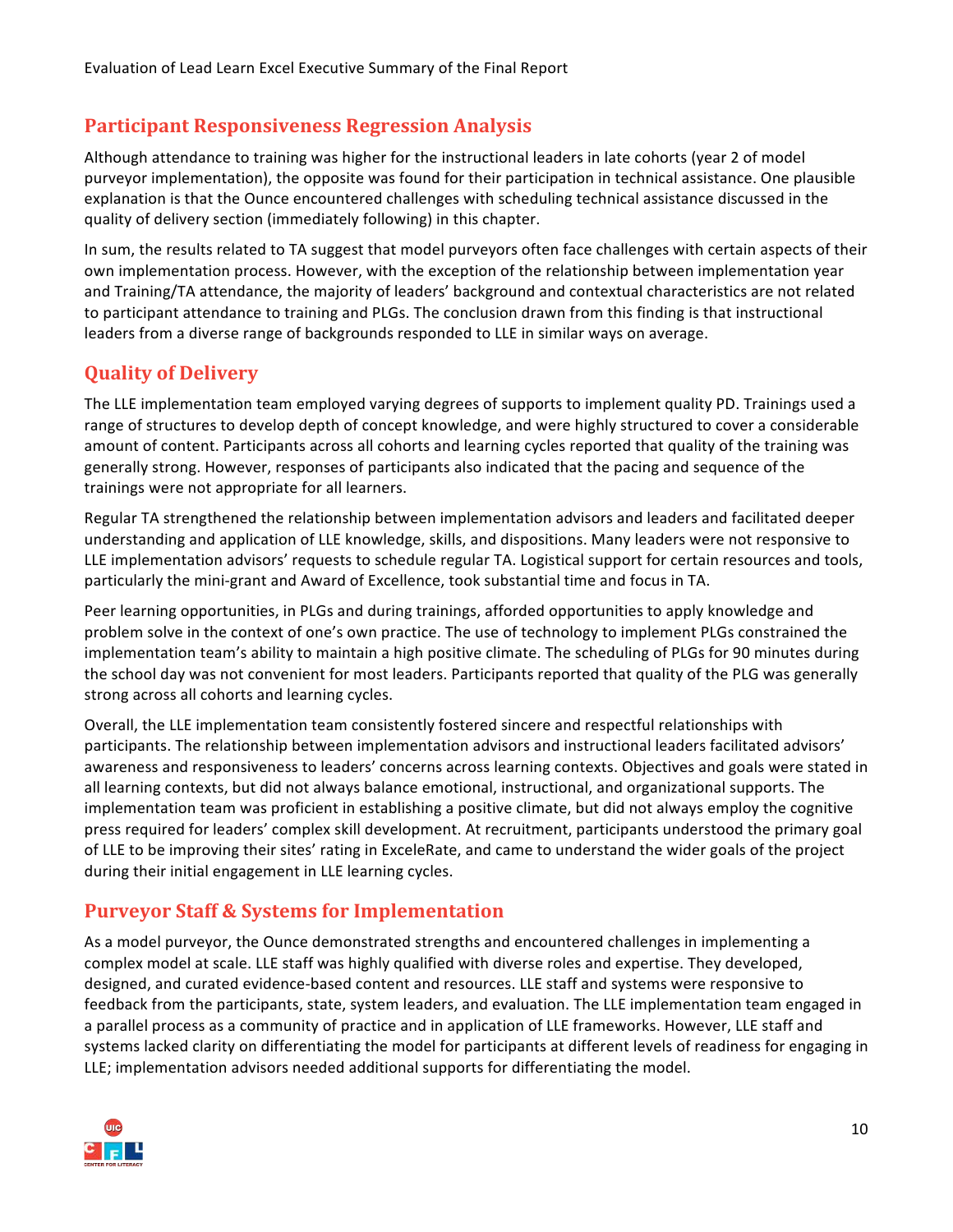#### **Participant Responsiveness Regression Analysis**

Although attendance to training was higher for the instructional leaders in late cohorts (year 2 of model purveyor implementation), the opposite was found for their participation in technical assistance. One plausible explanation is that the Ounce encountered challenges with scheduling technical assistance discussed in the quality of delivery section (immediately following) in this chapter.

In sum, the results related to TA suggest that model purveyors often face challenges with certain aspects of their own implementation process. However, with the exception of the relationship between implementation year and Training/TA attendance, the majority of leaders' background and contextual characteristics are not related to participant attendance to training and PLGs. The conclusion drawn from this finding is that instructional leaders from a diverse range of backgrounds responded to LLE in similar ways on average.

#### **Quality of Delivery**

The LLE implementation team employed varying degrees of supports to implement quality PD. Trainings used a range of structures to develop depth of concept knowledge, and were highly structured to cover a considerable amount of content. Participants across all cohorts and learning cycles reported that quality of the training was generally strong. However, responses of participants also indicated that the pacing and sequence of the trainings were not appropriate for all learners.

Regular TA strengthened the relationship between implementation advisors and leaders and facilitated deeper understanding and application of LLE knowledge, skills, and dispositions. Many leaders were not responsive to LLE implementation advisors' requests to schedule regular TA. Logistical support for certain resources and tools, particularly the mini-grant and Award of Excellence, took substantial time and focus in TA.

Peer learning opportunities, in PLGs and during trainings, afforded opportunities to apply knowledge and problem solve in the context of one's own practice. The use of technology to implement PLGs constrained the implementation team's ability to maintain a high positive climate. The scheduling of PLGs for 90 minutes during the school day was not convenient for most leaders. Participants reported that quality of the PLG was generally strong across all cohorts and learning cycles.

Overall, the LLE implementation team consistently fostered sincere and respectful relationships with participants. The relationship between implementation advisors and instructional leaders facilitated advisors' awareness and responsiveness to leaders' concerns across learning contexts. Objectives and goals were stated in all learning contexts, but did not always balance emotional, instructional, and organizational supports. The implementation team was proficient in establishing a positive climate, but did not always employ the cognitive press required for leaders' complex skill development. At recruitment, participants understood the primary goal of LLE to be improving their sites' rating in ExceleRate, and came to understand the wider goals of the project during their initial engagement in LLE learning cycles.

#### **Purveyor Staff & Systems for Implementation**

As a model purveyor, the Ounce demonstrated strengths and encountered challenges in implementing a complex model at scale. LLE staff was highly qualified with diverse roles and expertise. They developed, designed, and curated evidence-based content and resources. LLE staff and systems were responsive to feedback from the participants, state, system leaders, and evaluation. The LLE implementation team engaged in a parallel process as a community of practice and in application of LLE frameworks. However, LLE staff and systems lacked clarity on differentiating the model for participants at different levels of readiness for engaging in LLE; implementation advisors needed additional supports for differentiating the model.

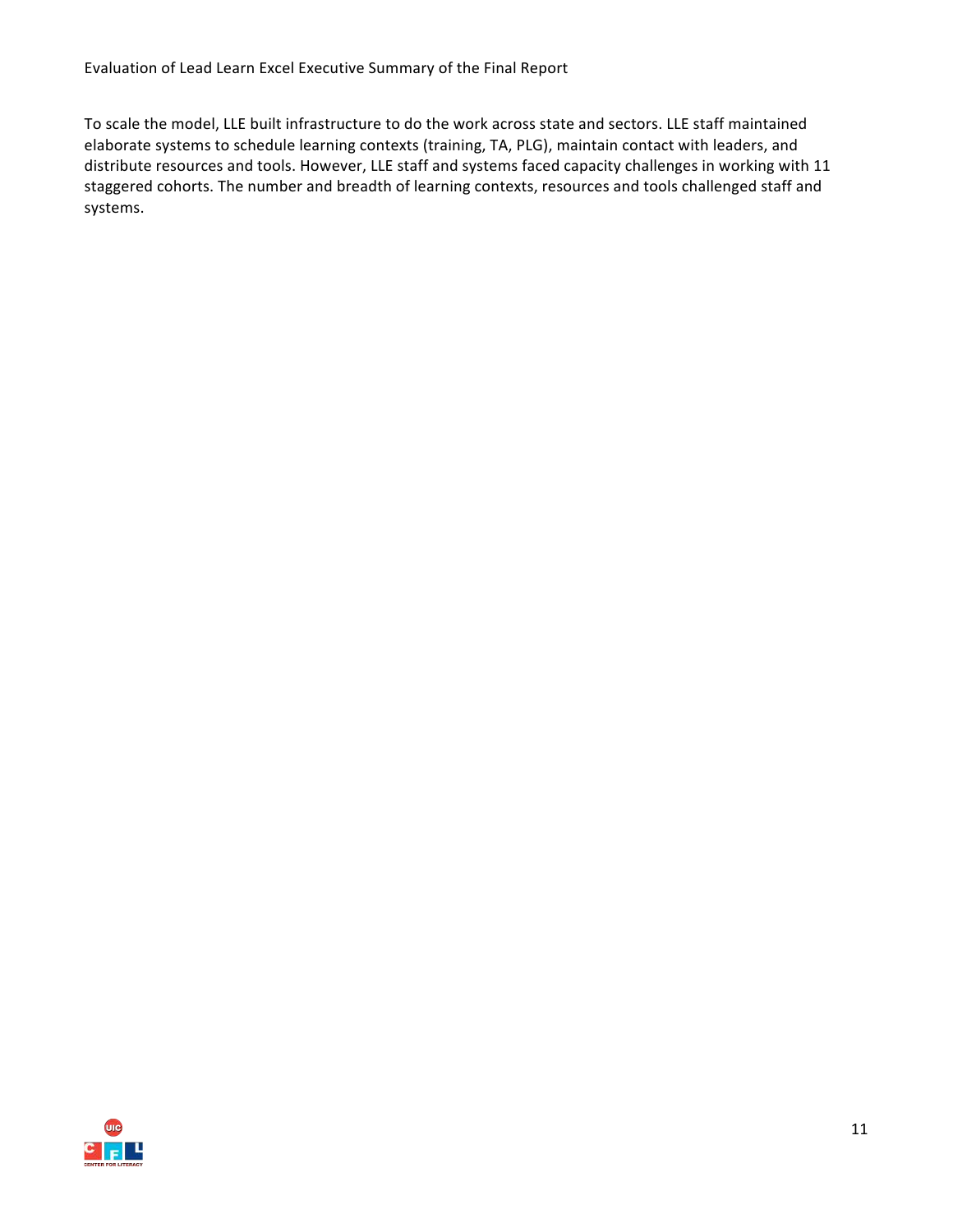Evaluation of Lead Learn Excel Executive Summary of the Final Report

To scale the model, LLE built infrastructure to do the work across state and sectors. LLE staff maintained elaborate systems to schedule learning contexts (training, TA, PLG), maintain contact with leaders, and distribute resources and tools. However, LLE staff and systems faced capacity challenges in working with 11 staggered cohorts. The number and breadth of learning contexts, resources and tools challenged staff and systems.

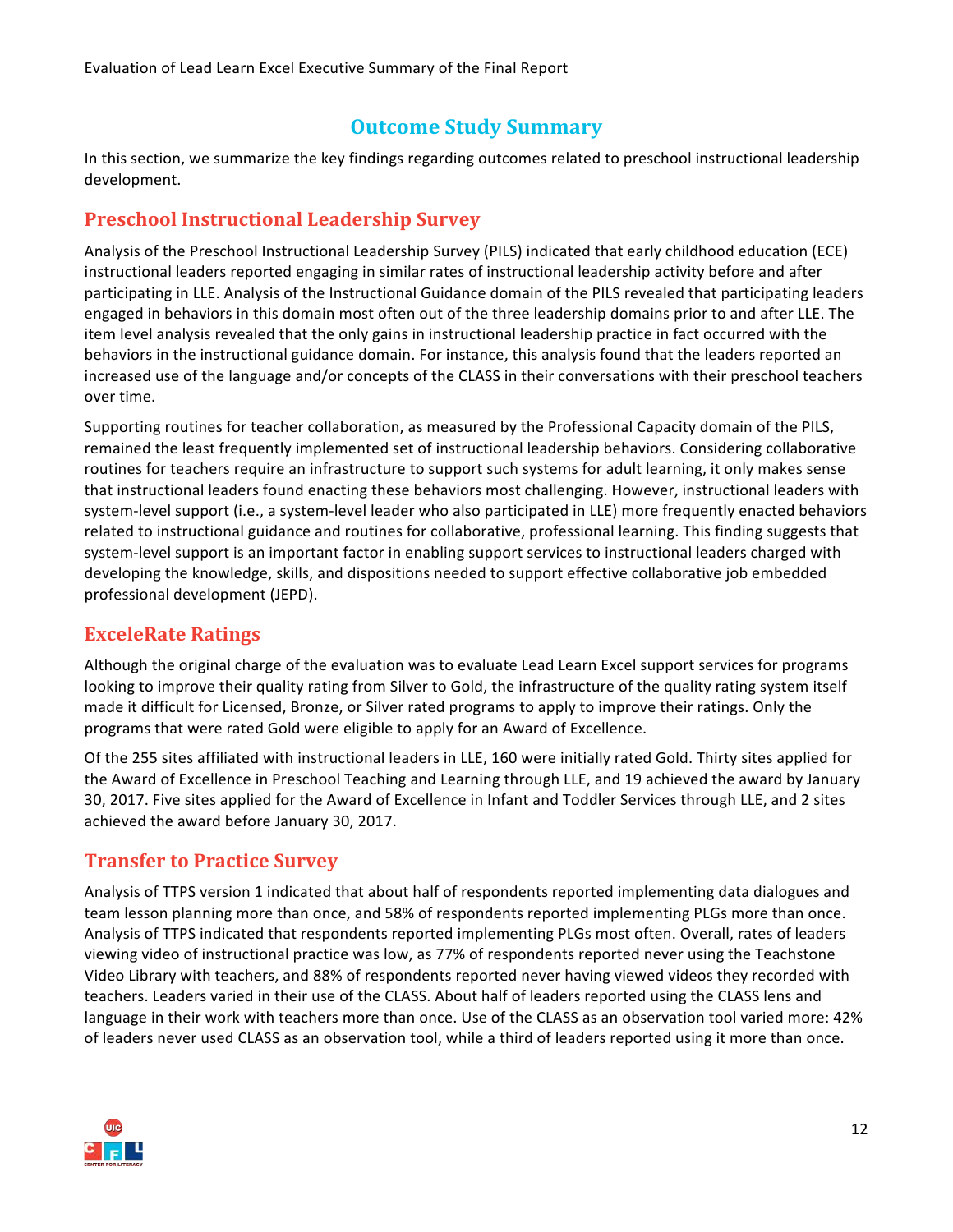#### **Outcome Study Summary**

In this section, we summarize the key findings regarding outcomes related to preschool instructional leadership development. 

#### **Preschool Instructional Leadership Survey**

Analysis of the Preschool Instructional Leadership Survey (PILS) indicated that early childhood education (ECE) instructional leaders reported engaging in similar rates of instructional leadership activity before and after participating in LLE. Analysis of the Instructional Guidance domain of the PILS revealed that participating leaders engaged in behaviors in this domain most often out of the three leadership domains prior to and after LLE. The item level analysis revealed that the only gains in instructional leadership practice in fact occurred with the behaviors in the instructional guidance domain. For instance, this analysis found that the leaders reported an increased use of the language and/or concepts of the CLASS in their conversations with their preschool teachers over time.

Supporting routines for teacher collaboration, as measured by the Professional Capacity domain of the PILS, remained the least frequently implemented set of instructional leadership behaviors. Considering collaborative routines for teachers require an infrastructure to support such systems for adult learning, it only makes sense that instructional leaders found enacting these behaviors most challenging. However, instructional leaders with system-level support (i.e., a system-level leader who also participated in LLE) more frequently enacted behaviors related to instructional guidance and routines for collaborative, professional learning. This finding suggests that system-level support is an important factor in enabling support services to instructional leaders charged with developing the knowledge, skills, and dispositions needed to support effective collaborative job embedded professional development (JEPD).

#### **ExceleRate Ratings**

Although the original charge of the evaluation was to evaluate Lead Learn Excel support services for programs looking to improve their quality rating from Silver to Gold, the infrastructure of the quality rating system itself made it difficult for Licensed, Bronze, or Silver rated programs to apply to improve their ratings. Only the programs that were rated Gold were eligible to apply for an Award of Excellence.

Of the 255 sites affiliated with instructional leaders in LLE, 160 were initially rated Gold. Thirty sites applied for the Award of Excellence in Preschool Teaching and Learning through LLE, and 19 achieved the award by January 30, 2017. Five sites applied for the Award of Excellence in Infant and Toddler Services through LLE, and 2 sites achieved the award before January 30, 2017.

#### **Transfer to Practice Survey**

Analysis of TTPS version 1 indicated that about half of respondents reported implementing data dialogues and team lesson planning more than once, and 58% of respondents reported implementing PLGs more than once. Analysis of TTPS indicated that respondents reported implementing PLGs most often. Overall, rates of leaders viewing video of instructional practice was low, as 77% of respondents reported never using the Teachstone Video Library with teachers, and 88% of respondents reported never having viewed videos they recorded with teachers. Leaders varied in their use of the CLASS. About half of leaders reported using the CLASS lens and language in their work with teachers more than once. Use of the CLASS as an observation tool varied more: 42% of leaders never used CLASS as an observation tool, while a third of leaders reported using it more than once.

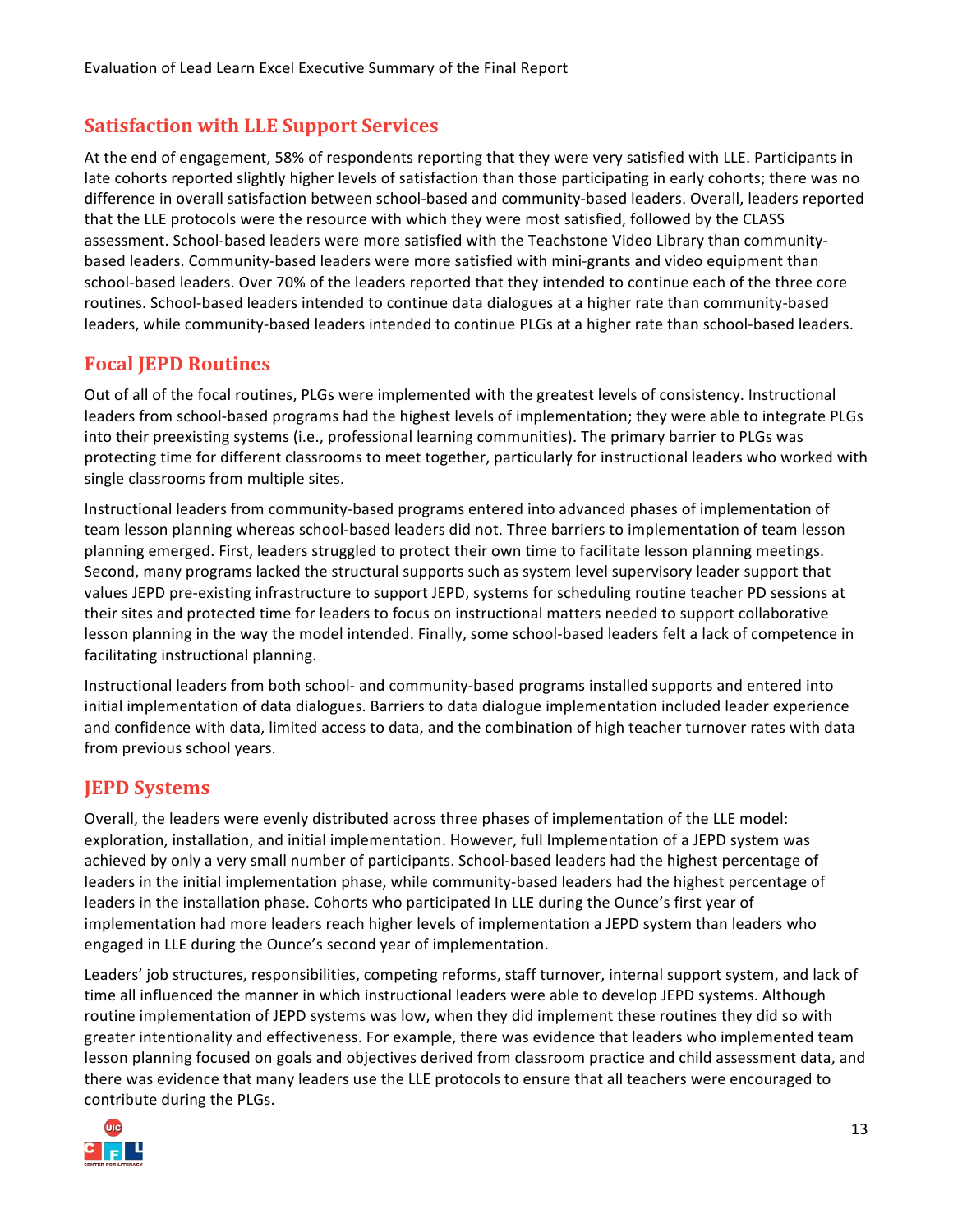#### **Satisfaction with LLE Support Services**

At the end of engagement, 58% of respondents reporting that they were very satisfied with LLE. Participants in late cohorts reported slightly higher levels of satisfaction than those participating in early cohorts; there was no difference in overall satisfaction between school-based and community-based leaders. Overall, leaders reported that the LLE protocols were the resource with which they were most satisfied, followed by the CLASS assessment. School-based leaders were more satisfied with the Teachstone Video Library than communitybased leaders. Community-based leaders were more satisfied with mini-grants and video equipment than school-based leaders. Over 70% of the leaders reported that they intended to continue each of the three core routines. School-based leaders intended to continue data dialogues at a higher rate than community-based leaders, while community-based leaders intended to continue PLGs at a higher rate than school-based leaders.

#### **Focal JEPD Routines**

Out of all of the focal routines, PLGs were implemented with the greatest levels of consistency. Instructional leaders from school-based programs had the highest levels of implementation; they were able to integrate PLGs into their preexisting systems (i.e., professional learning communities). The primary barrier to PLGs was protecting time for different classrooms to meet together, particularly for instructional leaders who worked with single classrooms from multiple sites.

Instructional leaders from community-based programs entered into advanced phases of implementation of team lesson planning whereas school-based leaders did not. Three barriers to implementation of team lesson planning emerged. First, leaders struggled to protect their own time to facilitate lesson planning meetings. Second, many programs lacked the structural supports such as system level supervisory leader support that values JEPD pre-existing infrastructure to support JEPD, systems for scheduling routine teacher PD sessions at their sites and protected time for leaders to focus on instructional matters needed to support collaborative lesson planning in the way the model intended. Finally, some school-based leaders felt a lack of competence in facilitating instructional planning.

Instructional leaders from both school- and community-based programs installed supports and entered into initial implementation of data dialogues. Barriers to data dialogue implementation included leader experience and confidence with data, limited access to data, and the combination of high teacher turnover rates with data from previous school years.

#### **JEPD Systems**

Overall, the leaders were evenly distributed across three phases of implementation of the LLE model: exploration, installation, and initial implementation. However, full Implementation of a JEPD system was achieved by only a very small number of participants. School-based leaders had the highest percentage of leaders in the initial implementation phase, while community-based leaders had the highest percentage of leaders in the installation phase. Cohorts who participated In LLE during the Ounce's first year of implementation had more leaders reach higher levels of implementation a JEPD system than leaders who engaged in LLE during the Ounce's second year of implementation.

Leaders' job structures, responsibilities, competing reforms, staff turnover, internal support system, and lack of time all influenced the manner in which instructional leaders were able to develop JEPD systems. Although routine implementation of JEPD systems was low, when they did implement these routines they did so with greater intentionality and effectiveness. For example, there was evidence that leaders who implemented team lesson planning focused on goals and objectives derived from classroom practice and child assessment data, and there was evidence that many leaders use the LLE protocols to ensure that all teachers were encouraged to contribute during the PLGs.

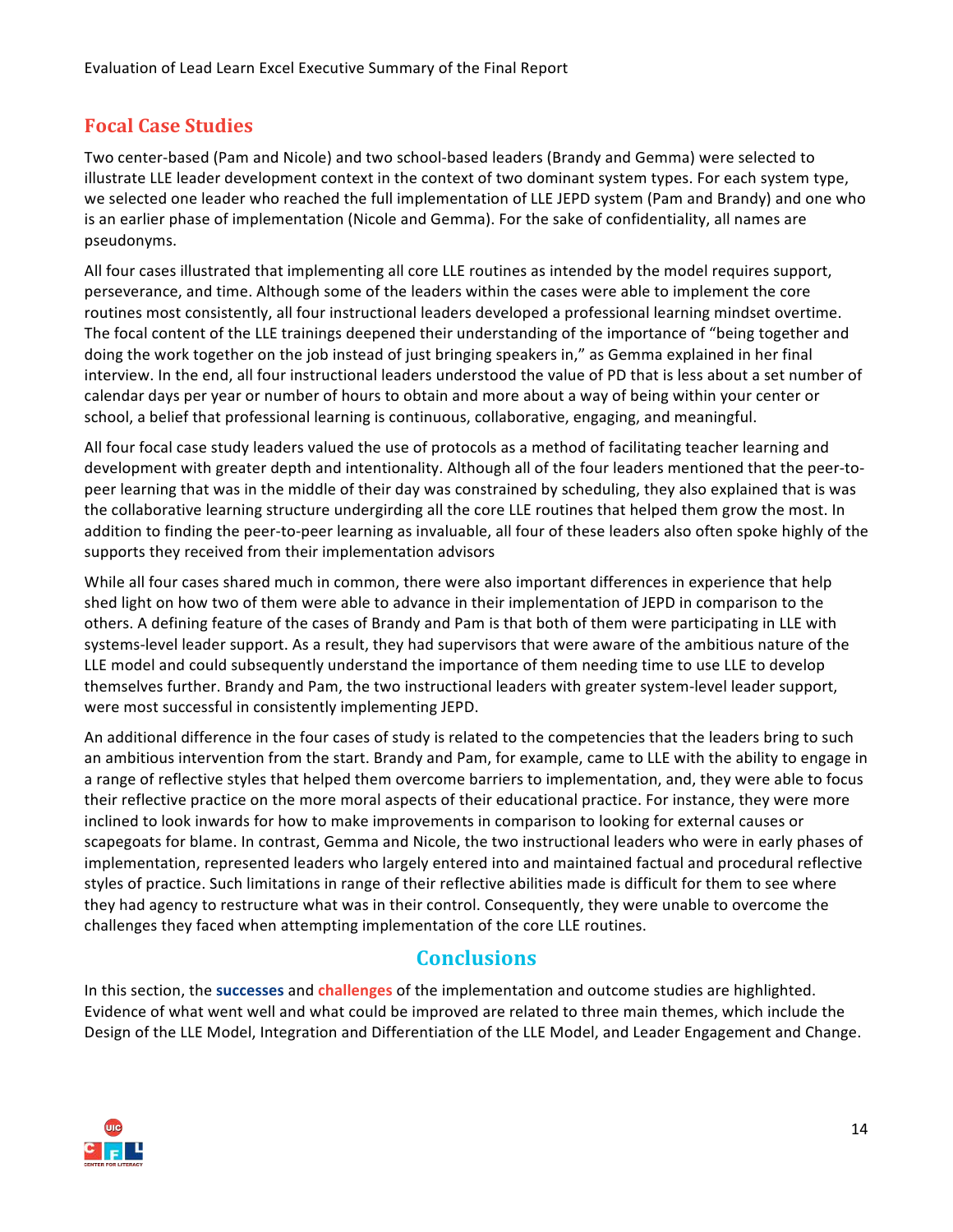#### **Focal Case Studies**

Two center-based (Pam and Nicole) and two school-based leaders (Brandy and Gemma) were selected to illustrate LLE leader development context in the context of two dominant system types. For each system type, we selected one leader who reached the full implementation of LLE JEPD system (Pam and Brandy) and one who is an earlier phase of implementation (Nicole and Gemma). For the sake of confidentiality, all names are pseudonyms.

All four cases illustrated that implementing all core LLE routines as intended by the model requires support, perseverance, and time. Although some of the leaders within the cases were able to implement the core routines most consistently, all four instructional leaders developed a professional learning mindset overtime. The focal content of the LLE trainings deepened their understanding of the importance of "being together and doing the work together on the job instead of just bringing speakers in," as Gemma explained in her final interview. In the end, all four instructional leaders understood the value of PD that is less about a set number of calendar days per year or number of hours to obtain and more about a way of being within your center or school, a belief that professional learning is continuous, collaborative, engaging, and meaningful.

All four focal case study leaders valued the use of protocols as a method of facilitating teacher learning and development with greater depth and intentionality. Although all of the four leaders mentioned that the peer-topeer learning that was in the middle of their day was constrained by scheduling, they also explained that is was the collaborative learning structure undergirding all the core LLE routines that helped them grow the most. In addition to finding the peer-to-peer learning as invaluable, all four of these leaders also often spoke highly of the supports they received from their implementation advisors

While all four cases shared much in common, there were also important differences in experience that help shed light on how two of them were able to advance in their implementation of JEPD in comparison to the others. A defining feature of the cases of Brandy and Pam is that both of them were participating in LLE with systems-level leader support. As a result, they had supervisors that were aware of the ambitious nature of the LLE model and could subsequently understand the importance of them needing time to use LLE to develop themselves further. Brandy and Pam, the two instructional leaders with greater system-level leader support, were most successful in consistently implementing JEPD.

An additional difference in the four cases of study is related to the competencies that the leaders bring to such an ambitious intervention from the start. Brandy and Pam, for example, came to LLE with the ability to engage in a range of reflective styles that helped them overcome barriers to implementation, and, they were able to focus their reflective practice on the more moral aspects of their educational practice. For instance, they were more inclined to look inwards for how to make improvements in comparison to looking for external causes or scapegoats for blame. In contrast, Gemma and Nicole, the two instructional leaders who were in early phases of implementation, represented leaders who largely entered into and maintained factual and procedural reflective styles of practice. Such limitations in range of their reflective abilities made is difficult for them to see where they had agency to restructure what was in their control. Consequently, they were unable to overcome the challenges they faced when attempting implementation of the core LLE routines.

#### **Conclusions**

In this section, the successes and *challenges* of the implementation and outcome studies are highlighted. Evidence of what went well and what could be improved are related to three main themes, which include the Design of the LLE Model, Integration and Differentiation of the LLE Model, and Leader Engagement and Change.

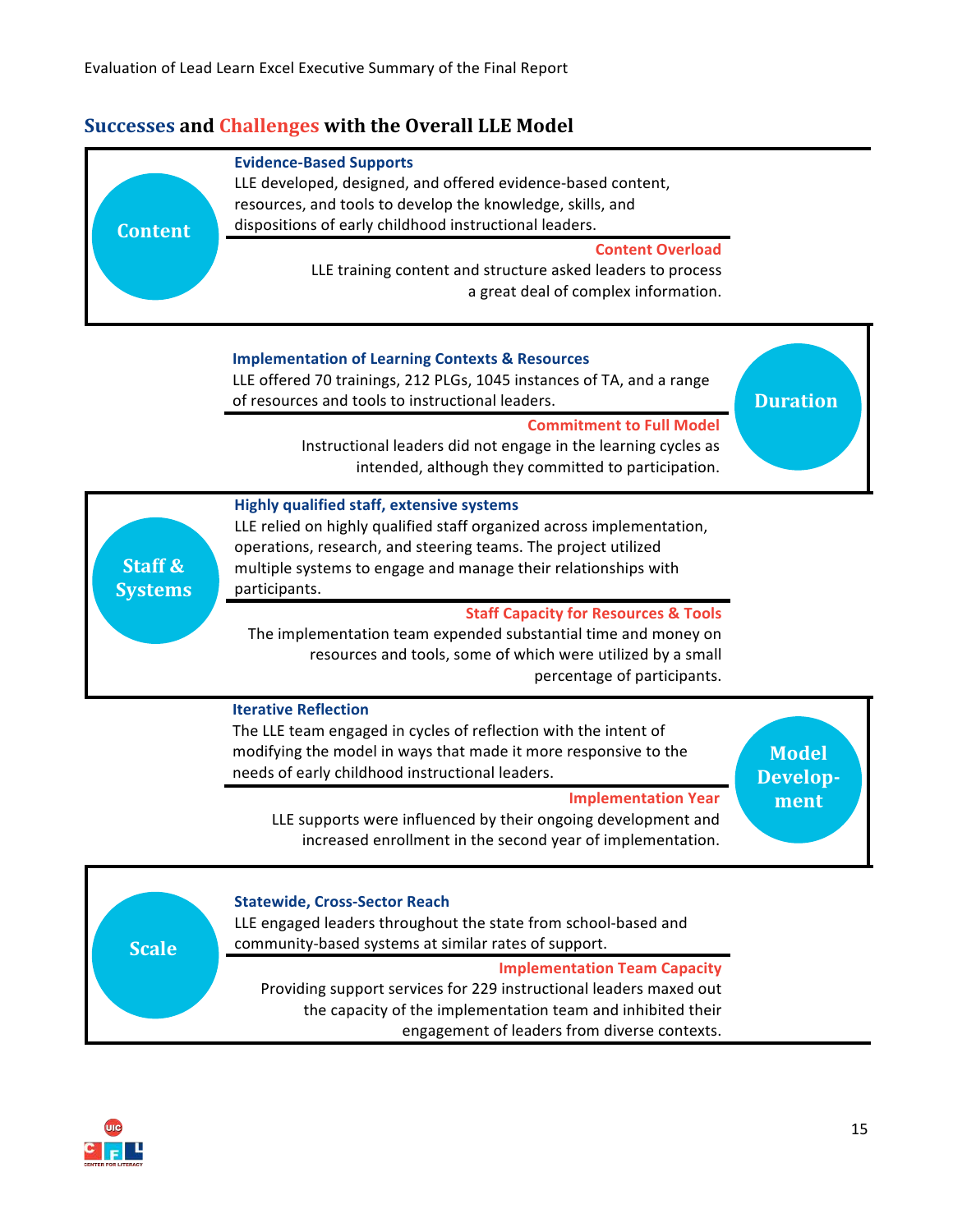#### **Successes and Challenges with the Overall LLE Model**







community-based systems at similar rates of support.

**Implementation Team Capacity** Providing support services for 229 instructional leaders maxed out the capacity of the implementation team and inhibited their engagement of leaders from diverse contexts.

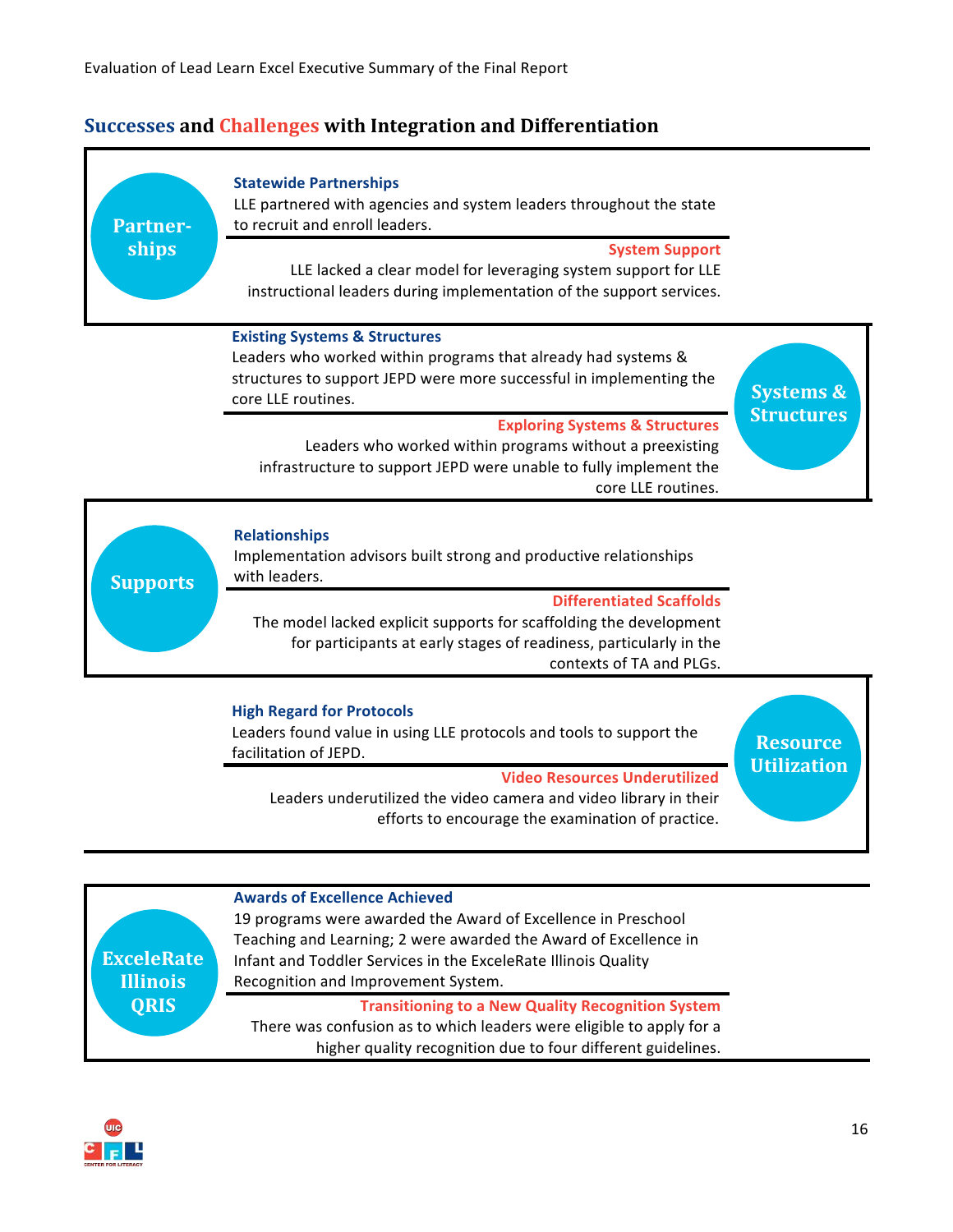#### **Successes and Challenges with Integration and Differentiation**



Leaders underutilized the video camera and video library in their efforts to encourage the examination of practice.

**Awards of Excellence Achieved** 19 programs were awarded the Award of Excellence in Preschool Teaching and Learning; 2 were awarded the Award of Excellence in Infant and Toddler Services in the ExceleRate Illinois Quality Recognition and Improvement System. **Transitioning to a New Quality Recognition System** There was confusion as to which leaders were eligible to apply for a higher quality recognition due to four different guidelines. **ExceleRate Illinois QRIS**

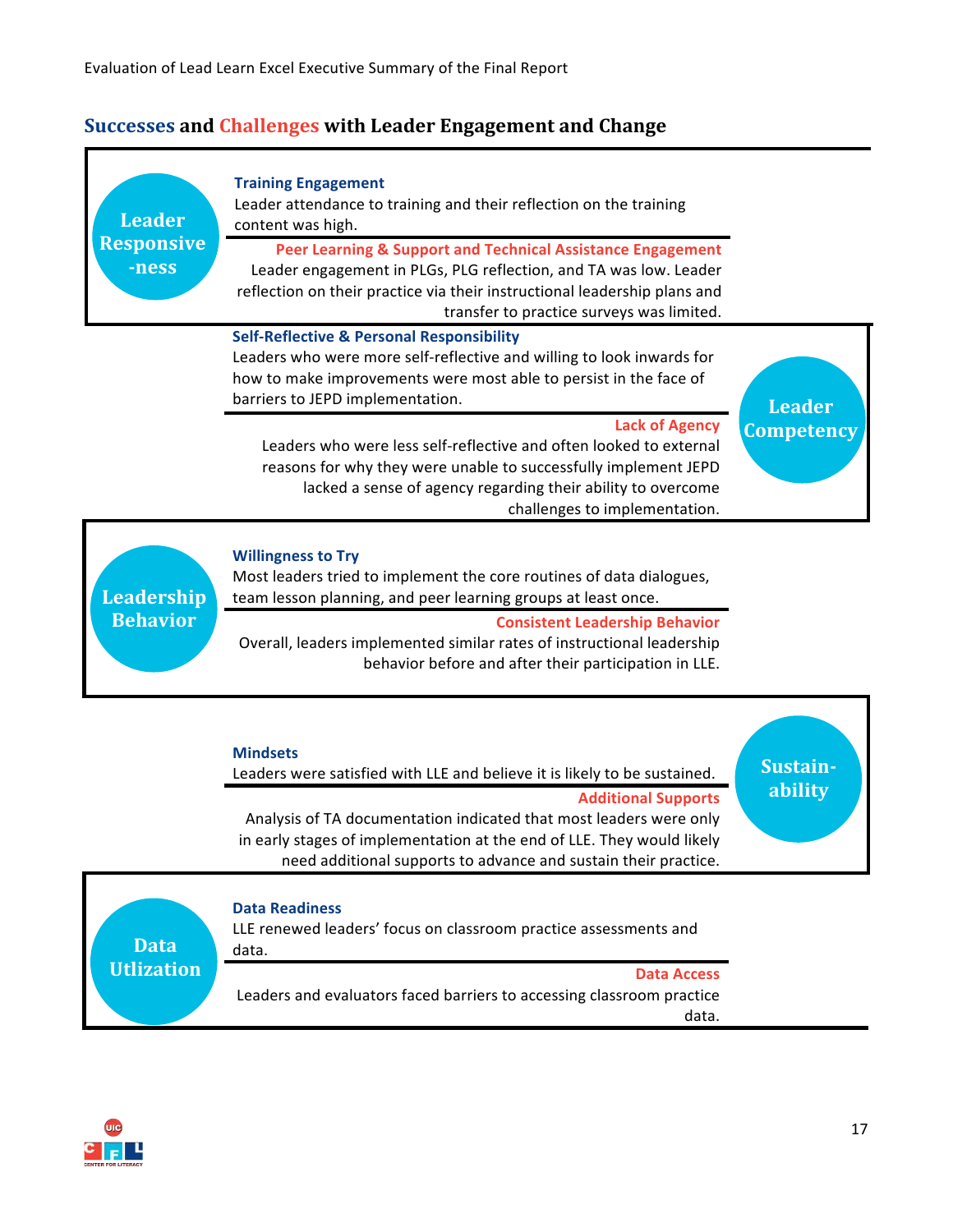#### **Successes and Challenges with Leader Engagement and Change**



Analysis of TA documentation indicated that most leaders were only in early stages of implementation at the end of LLE. They would likely need additional supports to advance and sustain their practice.

### **Data Readiness**

LLE renewed leaders' focus on classroom practice assessments and data.

**Data Utlization**

**Data Access** Leaders and evaluators faced barriers to accessing classroom practice data.